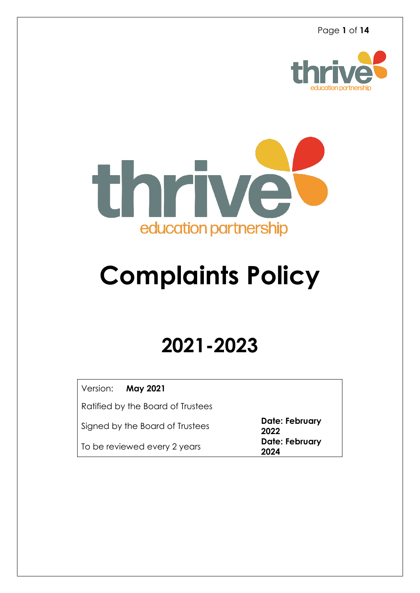



# **Complaints Policy**

# **2021-2023**

| Version: May 2021                 |                        |
|-----------------------------------|------------------------|
| Ratified by the Board of Trustees |                        |
| Signed by the Board of Trustees   | Date: February<br>2022 |
| To be reviewed every 2 years      | Date: February<br>2024 |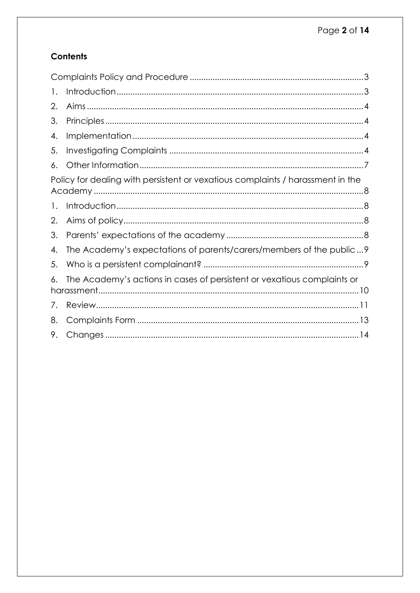# **Contents**

| 1.           |                                                                                |  |
|--------------|--------------------------------------------------------------------------------|--|
| 2.           |                                                                                |  |
| 3.           |                                                                                |  |
| 4.           |                                                                                |  |
| 5.           |                                                                                |  |
| 6.           |                                                                                |  |
|              | Policy for dealing with persistent or vexatious complaints / harassment in the |  |
| 1.           |                                                                                |  |
| 2.           |                                                                                |  |
| 3.           |                                                                                |  |
| 4.           | The Academy's expectations of parents/carers/members of the public?            |  |
| 5.           |                                                                                |  |
| 6.           | The Academy's actions in cases of persistent or vexatious complaints or        |  |
| $\sqrt{ }$ . |                                                                                |  |
| 8.           |                                                                                |  |
| 9.           |                                                                                |  |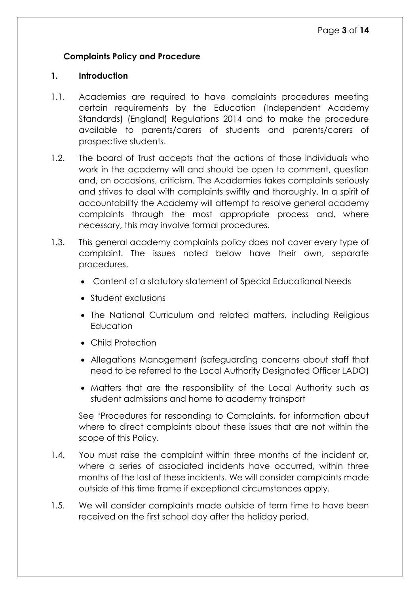# <span id="page-2-0"></span>**Complaints Policy and Procedure**

#### <span id="page-2-1"></span>**1. Introduction**

- 1.1. Academies are required to have complaints procedures meeting certain requirements by the Education (Independent Academy Standards) (England) Regulations 2014 and to make the procedure available to parents/carers of students and parents/carers of prospective students.
- 1.2. The board of Trust accepts that the actions of those individuals who work in the academy will and should be open to comment, question and, on occasions, criticism. The Academies takes complaints seriously and strives to deal with complaints swiftly and thoroughly. In a spirit of accountability the Academy will attempt to resolve general academy complaints through the most appropriate process and, where necessary, this may involve formal procedures.
- 1.3. This general academy complaints policy does not cover every type of complaint. The issues noted below have their own, separate procedures.
	- Content of a statutory statement of Special Educational Needs
	- Student exclusions
	- The National Curriculum and related matters, including Religious **Education**
	- Child Protection
	- Allegations Management (safeguarding concerns about staff that need to be referred to the Local Authority Designated Officer LADO)
	- Matters that are the responsibility of the Local Authority such as student admissions and home to academy transport

See 'Procedures for responding to Complaints, for information about where to direct complaints about these issues that are not within the scope of this Policy.

- 1.4. You must raise the complaint within three months of the incident or, where a series of associated incidents have occurred, within three months of the last of these incidents. We will consider complaints made outside of this time frame if exceptional circumstances apply.
- 1.5. We will consider complaints made outside of term time to have been received on the first school day after the holiday period.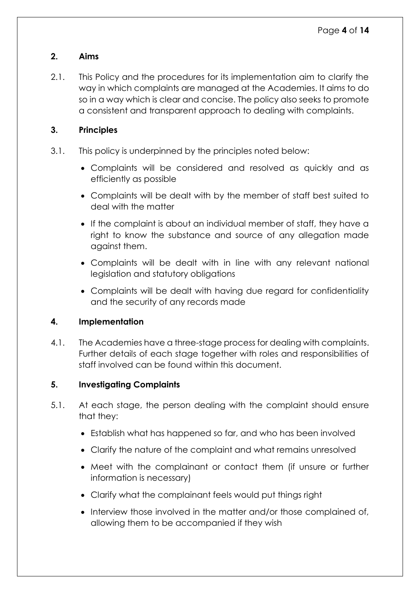#### <span id="page-3-0"></span>**2. Aims**

2.1. This Policy and the procedures for its implementation aim to clarify the way in which complaints are managed at the Academies. It aims to do so in a way which is clear and concise. The policy also seeks to promote a consistent and transparent approach to dealing with complaints.

#### <span id="page-3-1"></span>**3. Principles**

- 3.1. This policy is underpinned by the principles noted below:
	- Complaints will be considered and resolved as quickly and as efficiently as possible
	- Complaints will be dealt with by the member of staff best suited to deal with the matter
	- If the complaint is about an individual member of staff, they have a right to know the substance and source of any allegation made against them.
	- Complaints will be dealt with in line with any relevant national legislation and statutory obligations
	- Complaints will be dealt with having due regard for confidentiality and the security of any records made

## <span id="page-3-2"></span>**4. Implementation**

4.1. The Academies have a three-stage process for dealing with complaints. Further details of each stage together with roles and responsibilities of staff involved can be found within this document.

## <span id="page-3-3"></span>**5. Investigating Complaints**

- 5.1. At each stage, the person dealing with the complaint should ensure that they:
	- Establish what has happened so far, and who has been involved
	- Clarify the nature of the complaint and what remains unresolved
	- Meet with the complainant or contact them (if unsure or further information is necessary)
	- Clarify what the complainant feels would put things right
	- Interview those involved in the matter and/or those complained of, allowing them to be accompanied if they wish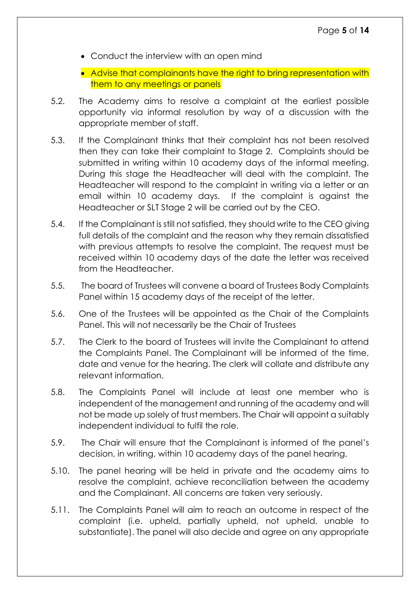- Conduct the interview with an open mind
- Advise that complainants have the right to bring representation with them to any meetings or panels
- 5.2. The Academy aims to resolve a complaint at the earliest possible opportunity via informal resolution by way of a discussion with the appropriate member of staff.
- 5.3. If the Complainant thinks that their complaint has not been resolved then they can take their complaint to Stage 2. Complaints should be submitted in writing within 10 academy days of the informal meeting. During this stage the Headteacher will deal with the complaint. The Headteacher will respond to the complaint in writing via a letter or an email within 10 academy days. If the complaint is against the Headteacher or SLT Stage 2 will be carried out by the CEO.
- 5.4. If the Complainant is still not satisfied, they should write to the CEO giving full details of the complaint and the reason why they remain dissatisfied with previous attempts to resolve the complaint. The request must be received within 10 academy days of the date the letter was received from the Headteacher.
- 5.5. The board of Trustees will convene a board of Trustees Body Complaints Panel within 15 academy days of the receipt of the letter.
- 5.6. One of the Trustees will be appointed as the Chair of the Complaints Panel. This will not necessarily be the Chair of Trustees
- 5.7. The Clerk to the board of Trustees will invite the Complainant to attend the Complaints Panel. The Complainant will be informed of the time, date and venue for the hearing. The clerk will collate and distribute any relevant information.
- 5.8. The Complaints Panel will include at least one member who is independent of the management and running of the academy and will not be made up solely of trust members. The Chair will appoint a suitably independent individual to fulfil the role.
- 5.9. The Chair will ensure that the Complainant is informed of the panel's decision, in writing, within 10 academy days of the panel hearing.
- 5.10. The panel hearing will be held in private and the academy aims to resolve the complaint, achieve reconciliation between the academy and the Complainant. All concerns are taken very seriously.
- 5.11. The Complaints Panel will aim to reach an outcome in respect of the complaint (i.e. upheld, partially upheld, not upheld, unable to substantiate). The panel will also decide and agree on any appropriate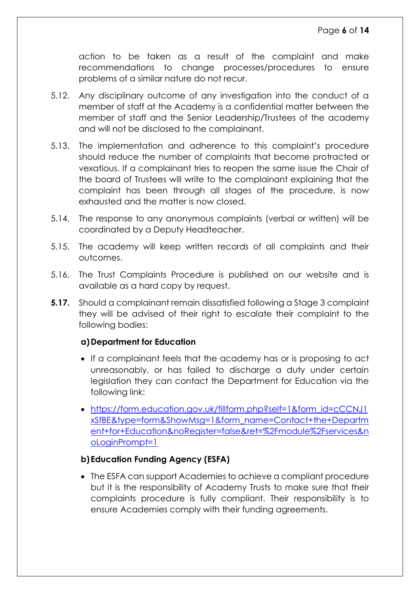action to be taken as a result of the complaint and make recommendations to change processes/procedures to ensure problems of a similar nature do not recur.

- 5.12. Any disciplinary outcome of any investigation into the conduct of a member of staff at the Academy is a confidential matter between the member of staff and the Senior Leadership/Trustees of the academy and will not be disclosed to the complainant.
- 5.13. The implementation and adherence to this complaint's procedure should reduce the number of complaints that become protracted or vexatious. If a complainant tries to reopen the same issue the Chair of the board of Trustees will write to the complainant explaining that the complaint has been through all stages of the procedure, is now exhausted and the matter is now closed.
- 5.14. The response to any anonymous complaints (verbal or written) will be coordinated by a Deputy Headteacher.
- 5.15. The academy will keep written records of all complaints and their outcomes.
- 5.16. The Trust Complaints Procedure is published on our website and is available as a hard copy by request.
- **5.17.** Should a complainant remain dissatisfied following a Stage 3 complaint they will be advised of their right to escalate their complaint to the following bodies:

#### **a)Department for Education**

- If a complainant feels that the academy has or is proposing to act unreasonably, or has failed to discharge a duty under certain legislation they can contact the Department for Education via the following link:
- [https://form.education.gov.uk/fillform.php?self=1&form\\_id=cCCNJ1](https://form.education.gov.uk/fillform.php?self=1&form_id=cCCNJ1xSfBE&type=form&ShowMsg=1&form_name=Contact%2Bthe%2BDepartment%2Bfor%2BEducation&noRegister=false&ret=%2Fmodule%2Fservices&noLoginPrompt=1) [xSfBE&type=form&ShowMsg=1&form\\_name=Contact+the+Departm](https://form.education.gov.uk/fillform.php?self=1&form_id=cCCNJ1xSfBE&type=form&ShowMsg=1&form_name=Contact%2Bthe%2BDepartment%2Bfor%2BEducation&noRegister=false&ret=%2Fmodule%2Fservices&noLoginPrompt=1) [ent+for+Education&noRegister=false&ret=%2Fmodule%2Fservices&n](https://form.education.gov.uk/fillform.php?self=1&form_id=cCCNJ1xSfBE&type=form&ShowMsg=1&form_name=Contact%2Bthe%2BDepartment%2Bfor%2BEducation&noRegister=false&ret=%2Fmodule%2Fservices&noLoginPrompt=1) [oLoginPrompt=1](https://form.education.gov.uk/fillform.php?self=1&form_id=cCCNJ1xSfBE&type=form&ShowMsg=1&form_name=Contact%2Bthe%2BDepartment%2Bfor%2BEducation&noRegister=false&ret=%2Fmodule%2Fservices&noLoginPrompt=1)

#### **b) Education Funding Agency (ESFA)**

 The ESFA can support Academies to achieve a compliant procedure but it is the responsibility of Academy Trusts to make sure that their complaints procedure is fully compliant. Their responsibility is to ensure Academies comply with their funding agreements.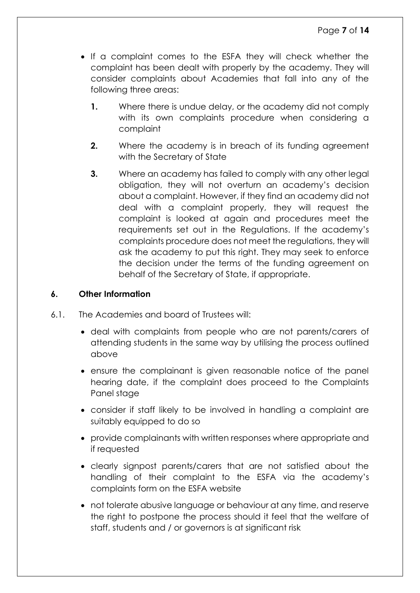- If a complaint comes to the ESFA they will check whether the complaint has been dealt with properly by the academy. They will consider complaints about Academies that fall into any of the following three areas:
	- **1.** Where there is undue delay, or the academy did not comply with its own complaints procedure when considering a complaint
	- **2.** Where the academy is in breach of its funding agreement with the Secretary of State
	- **3.** Where an academy has failed to comply with any other legal obligation, they will not overturn an academy's decision about a complaint. However, if they find an academy did not deal with a complaint properly, they will request the complaint is looked at again and procedures meet the requirements set out in the Regulations. If the academy's complaints procedure does not meet the regulations, they will ask the academy to put this right. They may seek to enforce the decision under the terms of the funding agreement on behalf of the Secretary of State, if appropriate.

#### <span id="page-6-0"></span>**6. Other Information**

- 6.1. The Academies and board of Trustees will:
	- deal with complaints from people who are not parents/carers of attending students in the same way by utilising the process outlined above
	- ensure the complainant is given reasonable notice of the panel hearing date, if the complaint does proceed to the Complaints Panel stage
	- consider if staff likely to be involved in handling a complaint are suitably equipped to do so
	- provide complainants with written responses where appropriate and if requested
	- clearly signpost parents/carers that are not satisfied about the handling of their complaint to the ESFA via the academy's complaints form on the ESFA website
	- not tolerate abusive language or behaviour at any time, and reserve the right to postpone the process should it feel that the welfare of staff, students and / or governors is at significant risk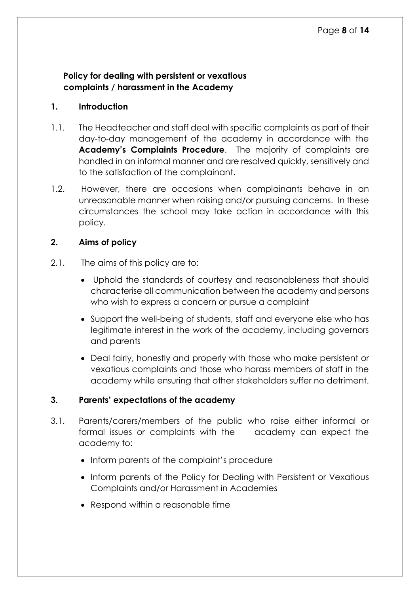#### <span id="page-7-0"></span>**Policy for dealing with persistent or vexatious complaints / harassment in the Academy**

#### <span id="page-7-1"></span>**1. Introduction**

- 1.1. The Headteacher and staff deal with specific complaints as part of their day-to-day management of the academy in accordance with the **Academy's Complaints Procedure**. The majority of complaints are handled in an informal manner and are resolved quickly, sensitively and to the satisfaction of the complainant.
- 1.2. However, there are occasions when complainants behave in an unreasonable manner when raising and/or pursuing concerns. In these circumstances the school may take action in accordance with this policy.

#### <span id="page-7-2"></span>**2. Aims of policy**

- 2.1. The aims of this policy are to:
	- Uphold the standards of courtesy and reasonableness that should characterise all communication between the academy and persons who wish to express a concern or pursue a complaint
	- Support the well-being of students, staff and everyone else who has legitimate interest in the work of the academy, including governors and parents
	- Deal fairly, honestly and properly with those who make persistent or vexatious complaints and those who harass members of staff in the academy while ensuring that other stakeholders suffer no detriment.

#### <span id="page-7-3"></span>**3. Parents' expectations of the academy**

- 3.1. Parents/carers/members of the public who raise either informal or formal issues or complaints with the academy can expect the academy to:
	- Inform parents of the complaint's procedure
	- Inform parents of the Policy for Dealing with Persistent or Vexatious Complaints and/or Harassment in Academies
	- Respond within a reasonable time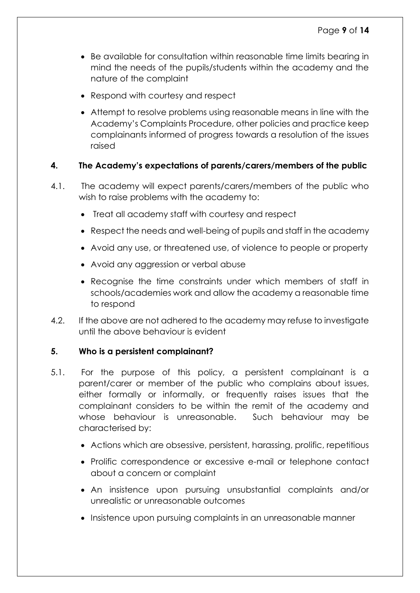- Be available for consultation within reasonable time limits bearing in mind the needs of the pupils/students within the academy and the nature of the complaint
- Respond with courtesy and respect
- Attempt to resolve problems using reasonable means in line with the Academy's Complaints Procedure, other policies and practice keep complainants informed of progress towards a resolution of the issues raised

#### <span id="page-8-0"></span>**4. The Academy's expectations of parents/carers/members of the public**

- 4.1. The academy will expect parents/carers/members of the public who wish to raise problems with the academy to:
	- Treat all academy staff with courtesy and respect
	- Respect the needs and well-being of pupils and staff in the academy
	- Avoid any use, or threatened use, of violence to people or property
	- Avoid any aggression or verbal abuse
	- Recognise the time constraints under which members of staff in schools/academies work and allow the academy a reasonable time to respond
- 4.2. If the above are not adhered to the academy may refuse to investigate until the above behaviour is evident

#### <span id="page-8-1"></span>**5. Who is a persistent complainant?**

- 5.1. For the purpose of this policy, a persistent complainant is a parent/carer or member of the public who complains about issues, either formally or informally, or frequently raises issues that the complainant considers to be within the remit of the academy and whose behaviour is unreasonable. Such behaviour may be characterised by:
	- Actions which are obsessive, persistent, harassing, prolific, repetitious
	- Prolific correspondence or excessive e-mail or telephone contact about a concern or complaint
	- An insistence upon pursuing unsubstantial complaints and/or unrealistic or unreasonable outcomes
	- Insistence upon pursuing complaints in an unreasonable manner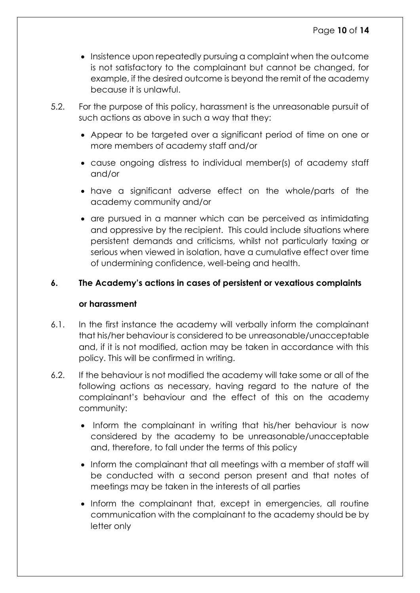- Insistence upon repeatedly pursuing a complaint when the outcome is not satisfactory to the complainant but cannot be changed, for example, if the desired outcome is beyond the remit of the academy because it is unlawful.
- 5.2. For the purpose of this policy, harassment is the unreasonable pursuit of such actions as above in such a way that they:
	- Appear to be targeted over a significant period of time on one or more members of academy staff and/or
	- cause ongoing distress to individual member(s) of academy staff and/or
	- have a significant adverse effect on the whole/parts of the academy community and/or
	- are pursued in a manner which can be perceived as intimidating and oppressive by the recipient. This could include situations where persistent demands and criticisms, whilst not particularly taxing or serious when viewed in isolation, have a cumulative effect over time of undermining confidence, well-being and health.

#### <span id="page-9-0"></span>**6. The Academy's actions in cases of persistent or vexatious complaints**

#### **or harassment**

- 6.1. In the first instance the academy will verbally inform the complainant that his/her behaviour is considered to be unreasonable/unacceptable and, if it is not modified, action may be taken in accordance with this policy. This will be confirmed in writing.
- 6.2. If the behaviour is not modified the academy will take some or all of the following actions as necessary, having regard to the nature of the complainant's behaviour and the effect of this on the academy community:
	- Inform the complainant in writing that his/her behaviour is now considered by the academy to be unreasonable/unacceptable and, therefore, to fall under the terms of this policy
	- Inform the complainant that all meetings with a member of staff will be conducted with a second person present and that notes of meetings may be taken in the interests of all parties
	- Inform the complainant that, except in emergencies, all routine communication with the complainant to the academy should be by letter only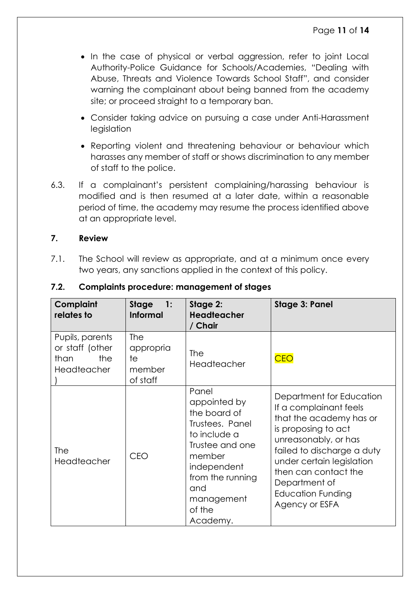- In the case of physical or verbal aggression, refer to joint Local Authority-Police Guidance for Schools/Academies, "Dealing with Abuse, Threats and Violence Towards School Staff", and consider warning the complainant about being banned from the academy site; or proceed straight to a temporary ban.
- Consider taking advice on pursuing a case under Anti-Harassment legislation
- Reporting violent and threatening behaviour or behaviour which harasses any member of staff or shows discrimination to any member of staff to the police.
- 6.3. If a complainant's persistent complaining/harassing behaviour is modified and is then resumed at a later date, within a reasonable period of time, the academy may resume the process identified above at an appropriate level.

#### <span id="page-10-0"></span>**7. Review**

7.1. The School will review as appropriate, and at a minimum once every two years, any sanctions applied in the context of this policy.

| <b>Complaint</b><br>relates to                                          | <b>Stage</b><br>1:<br><b>Informal</b>        | Stage 2:<br><b>Headteacher</b><br>/ Chair                                                                                                                                           | <b>Stage 3: Panel</b>                                                                                                                                                                                                                                                   |
|-------------------------------------------------------------------------|----------------------------------------------|-------------------------------------------------------------------------------------------------------------------------------------------------------------------------------------|-------------------------------------------------------------------------------------------------------------------------------------------------------------------------------------------------------------------------------------------------------------------------|
| Pupils, parents<br>or staff (other<br>the<br>than<br><b>Headteacher</b> | The<br>appropria<br>te<br>member<br>of staff | <b>The</b><br><b>Headteacher</b>                                                                                                                                                    | <b>CEO</b>                                                                                                                                                                                                                                                              |
| <b>The</b><br>Headteacher                                               | <b>CEO</b>                                   | Panel<br>appointed by<br>the board of<br>Trustees. Panel<br>to include a<br>Trustee and one<br>member<br>independent<br>from the running<br>and<br>management<br>of the<br>Academy. | Department for Education<br>If a complainant feels<br>that the academy has or<br>is proposing to act<br>unreasonably, or has<br>failed to discharge a duty<br>under certain legislation<br>then can contact the<br>Department of<br>Education Funding<br>Agency or ESFA |

#### **7.2. Complaints procedure: management of stages**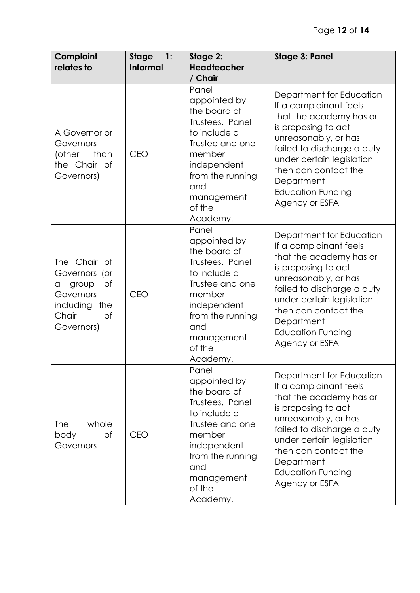# Page **12** of **14**

| Complaint<br>relates to                                                                                         | <b>Stage</b><br>1:<br><b>Informal</b> | Stage 2:<br><b>Headteacher</b><br>/ Chair                                                                                                                                           | <b>Stage 3: Panel</b>                                                                                                                                                                                                                                                       |
|-----------------------------------------------------------------------------------------------------------------|---------------------------------------|-------------------------------------------------------------------------------------------------------------------------------------------------------------------------------------|-----------------------------------------------------------------------------------------------------------------------------------------------------------------------------------------------------------------------------------------------------------------------------|
| A Governor or<br>Governors<br>(other<br>than<br>the Chair of<br>Governors)                                      | <b>CEO</b>                            | Panel<br>appointed by<br>the board of<br>Trustees. Panel<br>to include a<br>Trustee and one<br>member<br>independent<br>from the running<br>and<br>management<br>of the<br>Academy. | Department for Education<br>If a complainant feels<br>that the academy has or<br>is proposing to act<br>unreasonably, or has<br>failed to discharge a duty<br>under certain legislation<br>then can contact the<br>Department<br><b>Education Funding</b><br>Agency or ESFA |
| The Chair of<br>Governors (or<br>group<br>Οf<br>a<br>Governors<br>including<br>the<br>Chair<br>of<br>Governors) | <b>CEO</b>                            | Panel<br>appointed by<br>the board of<br>Trustees. Panel<br>to include a<br>Trustee and one<br>member<br>independent<br>from the running<br>and<br>management<br>of the<br>Academy. | Department for Education<br>If a complainant feels<br>that the academy has or<br>is proposing to act<br>unreasonably, or has<br>failed to discharge a duty<br>under certain legislation<br>then can contact the<br>Department<br><b>Education Funding</b><br>Agency or ESFA |
| <b>The</b><br>whole<br>of<br>body<br>Governors                                                                  | <b>CEO</b>                            | Panel<br>appointed by<br>the board of<br>Trustees. Panel<br>to include a<br>Trustee and one<br>member<br>independent<br>from the running<br>and<br>management<br>of the<br>Academy. | Department for Education<br>If a complainant feels<br>that the academy has or<br>is proposing to act<br>unreasonably, or has<br>failed to discharge a duty<br>under certain legislation<br>then can contact the<br>Department<br><b>Education Funding</b><br>Agency or ESFA |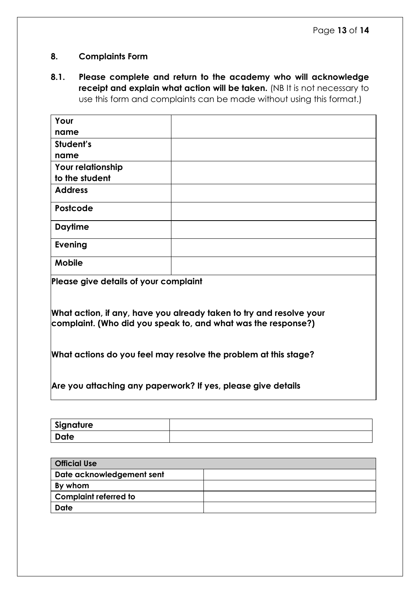#### <span id="page-12-0"></span>**8. Complaints Form**

**8.1. Please complete and return to the academy who will acknowledge receipt and explain what action will be taken.** (NB It is not necessary to use this form and complaints can be made without using this format.)

| Your                                                                                                                                 |  |  |
|--------------------------------------------------------------------------------------------------------------------------------------|--|--|
| name                                                                                                                                 |  |  |
| Student's                                                                                                                            |  |  |
| name                                                                                                                                 |  |  |
| Your relationship                                                                                                                    |  |  |
| to the student                                                                                                                       |  |  |
| <b>Address</b>                                                                                                                       |  |  |
| <b>Postcode</b>                                                                                                                      |  |  |
| <b>Daytime</b>                                                                                                                       |  |  |
| <b>Evening</b>                                                                                                                       |  |  |
| <b>Mobile</b>                                                                                                                        |  |  |
| Please give details of your complaint                                                                                                |  |  |
| What action, if any, have you already taken to try and resolve your<br>complaint. (Who did you speak to, and what was the response?) |  |  |
| What actions do you feel may resolve the problem at this stage?                                                                      |  |  |
| Are you attaching any paperwork? If yes, please give details                                                                         |  |  |

| Signature |  |
|-----------|--|
| Date      |  |

| <b>Official Use</b>          |  |
|------------------------------|--|
| Date acknowledgement sent    |  |
| By whom                      |  |
| <b>Complaint referred to</b> |  |
| <b>Date</b>                  |  |